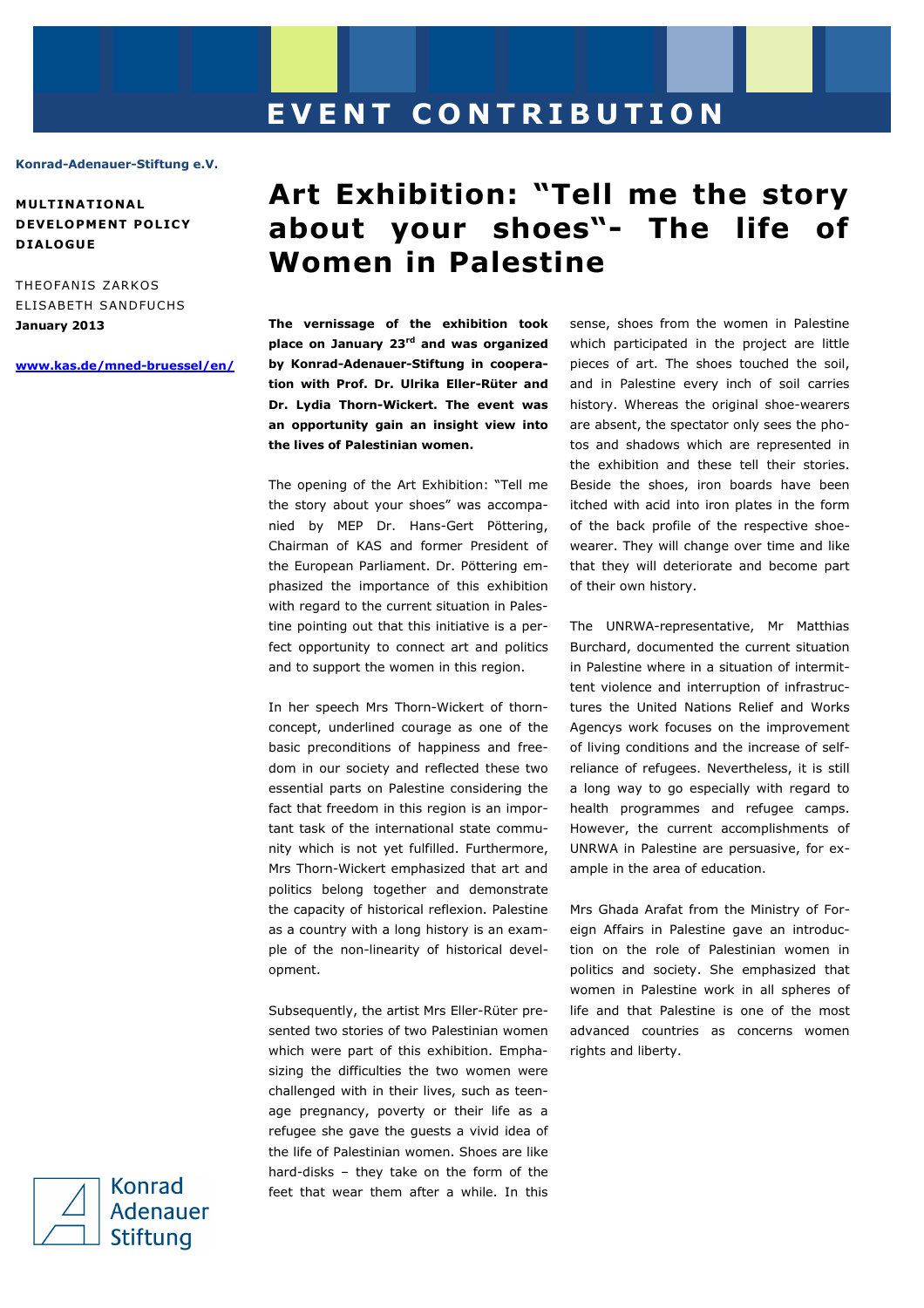## **E V E N T C O N T R I B U T I O N**

## **Konrad-Adenauer-Stiftung e.V.**

**MULT INAT IONA L DEVELOPMENT POLICY D IALOGUE** 

THEOFANIS ZARKOS ELISABETH SANDFUCHS **January 2013** 

**www.kas.de/mned-bruessel/en/** 

## **Art Exhibition: "Tell me the story about your shoes"- The life of Women in Palestine**

**The vernissage of the exhibition took place on January 23rd and was organized by Konrad-Adenauer-Stiftung in cooperation with Prof. Dr. Ulrika Eller-Rüter and Dr. Lydia Thorn-Wickert. The event was an opportunity gain an insight view into the lives of Palestinian women.** 

The opening of the Art Exhibition: "Tell me the story about your shoes" was accompanied by MEP Dr. Hans-Gert Pöttering, Chairman of KAS and former President of the European Parliament. Dr. Pöttering emphasized the importance of this exhibition with regard to the current situation in Palestine pointing out that this initiative is a perfect opportunity to connect art and politics and to support the women in this region.

In her speech Mrs Thorn-Wickert of thornconcept, underlined courage as one of the basic preconditions of happiness and freedom in our society and reflected these two essential parts on Palestine considering the fact that freedom in this region is an important task of the international state community which is not yet fulfilled. Furthermore, Mrs Thorn-Wickert emphasized that art and politics belong together and demonstrate the capacity of historical reflexion. Palestine as a country with a long history is an example of the non-linearity of historical development.

Subsequently, the artist Mrs Eller-Rüter presented two stories of two Palestinian women which were part of this exhibition. Emphasizing the difficulties the two women were challenged with in their lives, such as teenage pregnancy, poverty or their life as a refugee she gave the guests a vivid idea of the life of Palestinian women. Shoes are like hard-disks – they take on the form of the feet that wear them after a while. In this

sense, shoes from the women in Palestine which participated in the project are little pieces of art. The shoes touched the soil, and in Palestine every inch of soil carries history. Whereas the original shoe-wearers are absent, the spectator only sees the photos and shadows which are represented in the exhibition and these tell their stories. Beside the shoes, iron boards have been itched with acid into iron plates in the form of the back profile of the respective shoewearer. They will change over time and like that they will deteriorate and become part of their own history.

The UNRWA-representative, Mr Matthias Burchard, documented the current situation in Palestine where in a situation of intermittent violence and interruption of infrastructures the United Nations Relief and Works Agencys work focuses on the improvement of living conditions and the increase of selfreliance of refugees. Nevertheless, it is still a long way to go especially with regard to health programmes and refugee camps. However, the current accomplishments of UNRWA in Palestine are persuasive, for example in the area of education.

Mrs Ghada Arafat from the Ministry of Foreign Affairs in Palestine gave an introduction on the role of Palestinian women in politics and society. She emphasized that women in Palestine work in all spheres of life and that Palestine is one of the most advanced countries as concerns women rights and liberty.